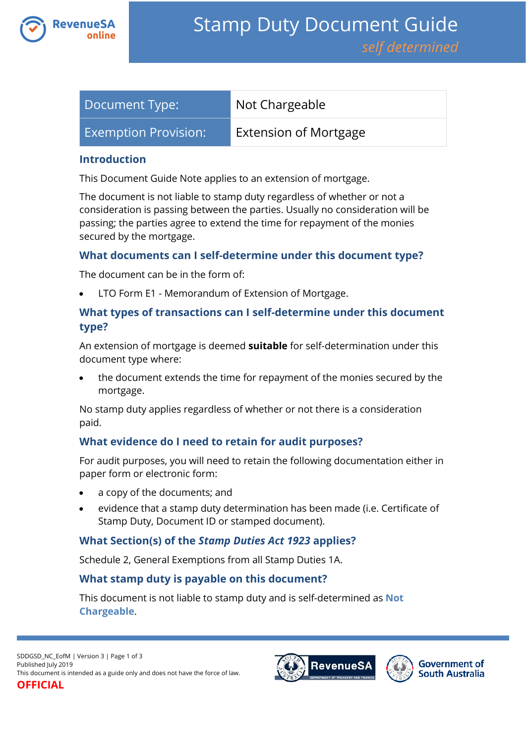

| Document Type:              | Not Chargeable               |
|-----------------------------|------------------------------|
| <b>Exemption Provision:</b> | <b>Extension of Mortgage</b> |

#### **Introduction**

This Document Guide Note applies to an extension of mortgage.

The document is not liable to stamp duty regardless of whether or not a consideration is passing between the parties. Usually no consideration will be passing; the parties agree to extend the time for repayment of the monies secured by the mortgage.

#### **What documents can I self-determine under this document type?**

The document can be in the form of:

LTO Form E1 - Memorandum of Extension of Mortgage.

## **What types of transactions can I self-determine under this document type?**

An extension of mortgage is deemed **suitable** for self-determination under this document type where:

 the document extends the time for repayment of the monies secured by the mortgage.

No stamp duty applies regardless of whether or not there is a consideration paid.

### **What evidence do I need to retain for audit purposes?**

For audit purposes, you will need to retain the following documentation either in paper form or electronic form:

- a copy of the documents; and
- evidence that a stamp duty determination has been made (i.e. Certificate of Stamp Duty, Document ID or stamped document).

### **What Section(s) of the** *Stamp Duties Act 1923* **applies?**

Schedule 2, General Exemptions from all Stamp Duties 1A.

### **What stamp duty is payable on this document?**

This document is not liable to stamp duty and is self-determined as **Not Chargeable**.



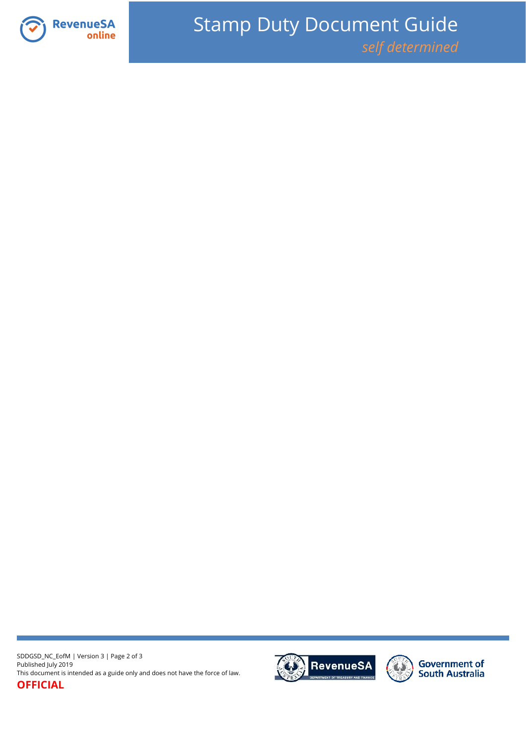

SDDGSD\_NC\_EofM | Version 3 | Page 2 of 3 Published July 2019 This document is intended as a guide only and does not have the force of law. **OFFICIAL**



Government of<br>South Australia